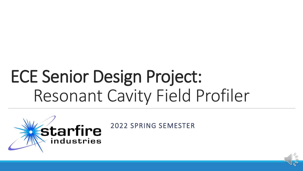# ECE Senior Design Project: Resonant Cavity Field Profiler

industries

Starfire 2022 SPRING SEMESTER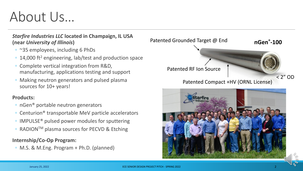## About Us…

### *Starfire Industries LLC* **located in Champaign, IL USA (near** *University of Illinois***)**

- ~35 employees, including 6 PhDs
- 14,000 ft<sup>2</sup> engineering, lab/test and production space
- Complete vertical integration from R&D, manufacturing, applications testing and support
- Making neutron generators and pulsed plasma sources for 10+ years!

### **Products:**

- nGen® portable neutron generators
- Centurion® transportable MeV particle accelerators
- IMPULSE® pulsed power modules for sputtering
- RADIONTM plasma sources for PECVD & Etching

### **Internship/Co-Op Program:**

◦ M.S. & M.Eng. Program + Ph.D. (planned)



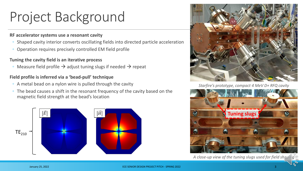# Project Background

#### **RF accelerator systems use a resonant cavity**

- Shaped cavity interior converts oscillating fields into directed particle acceleration
- Operation requires precisely controlled EM field profile

#### **Tuning the cavity field is an iterative process**

◦ Measure field profile  $\rightarrow$  adjust tuning slugs if needed  $\rightarrow$  repeat

#### **Field profile is inferred via a 'bead-pull' technique**

- A metal bead on a nylon wire is pulled through the cavity
- The bead causes a shift in the resonant frequency of the cavity based on the magnetic field strength at the bead's location





*Starfire's prototype, compact 4 MeV D+ RFQ cavity*



*A close-up view of the tuning slugs used for field shaping*